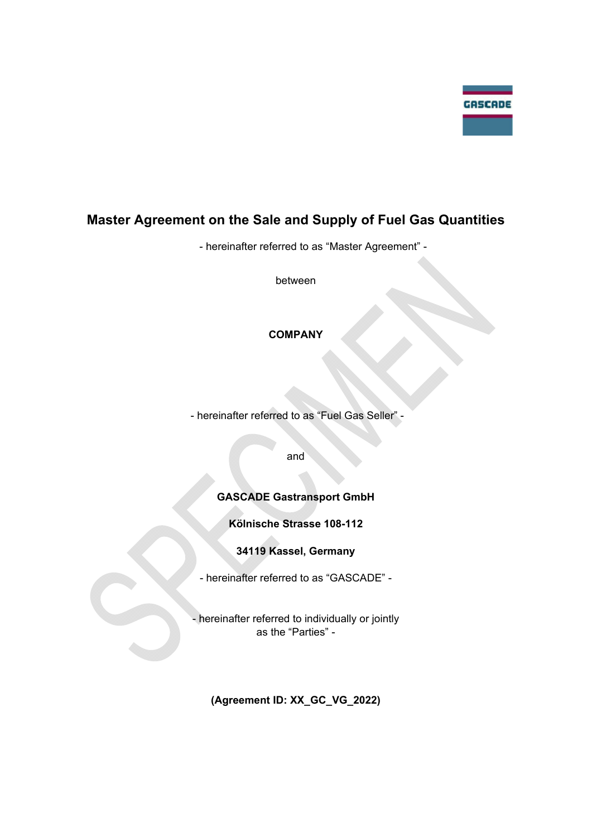

# **Master Agreement on the Sale and Supply of Fuel Gas Quantities**

- hereinafter referred to as "Master Agreement" -

between

# **COMPANY**

- hereinafter referred to as "Fuel Gas Seller" -

and

# **GASCADE Gastransport GmbH**

**Kölnische Strasse 108-112** 

**34119 Kassel, Germany** 

- hereinafter referred to as "GASCADE" -

- hereinafter referred to individually or jointly as the "Parties" -

**(Agreement ID: XX\_GC\_VG\_2022)**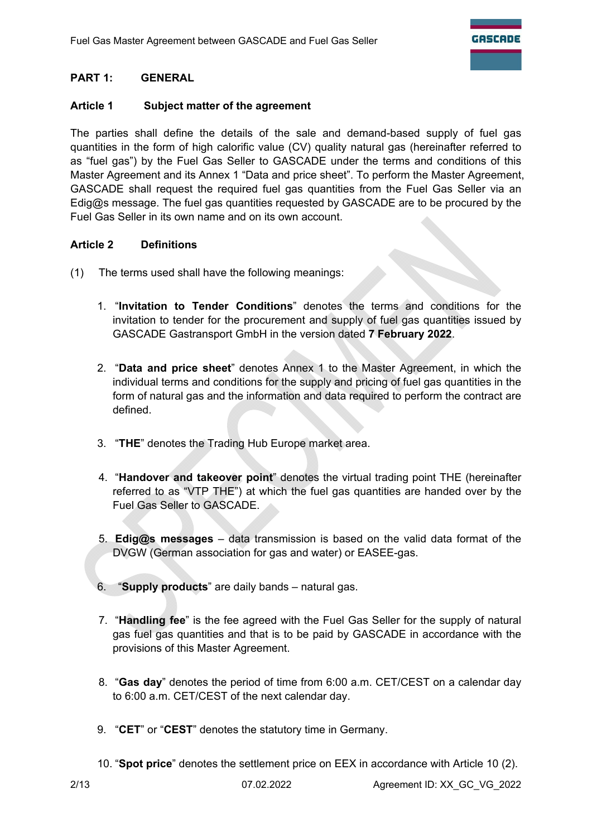# **PART 1: GENERAL**

### **Article 1 Subject matter of the agreement**

The parties shall define the details of the sale and demand-based supply of fuel gas quantities in the form of high calorific value (CV) quality natural gas (hereinafter referred to as "fuel gas") by the Fuel Gas Seller to GASCADE under the terms and conditions of this Master Agreement and its Annex 1 "Data and price sheet". To perform the Master Agreement, GASCADE shall request the required fuel gas quantities from the Fuel Gas Seller via an Edig@s message. The fuel gas quantities requested by GASCADE are to be procured by the Fuel Gas Seller in its own name and on its own account.

### **Article 2 Definitions**

- (1) The terms used shall have the following meanings:
	- 1. "**Invitation to Tender Conditions**" denotes the terms and conditions for the invitation to tender for the procurement and supply of fuel gas quantities issued by GASCADE Gastransport GmbH in the version dated **7 February 2022**.
	- 2. "**Data and price sheet**" denotes Annex 1 to the Master Agreement, in which the individual terms and conditions for the supply and pricing of fuel gas quantities in the form of natural gas and the information and data required to perform the contract are defined.
	- 3. "**THE**" denotes the Trading Hub Europe market area.
	- 4. "**Handover and takeover point**" denotes the virtual trading point THE (hereinafter referred to as "VTP THE") at which the fuel gas quantities are handed over by the Fuel Gas Seller to GASCADE.
	- 5. **Edig@s messages** data transmission is based on the valid data format of the DVGW (German association for gas and water) or EASEE-gas.
	- 6. "**Supply products**" are daily bands natural gas.
	- 7. "**Handling fee**" is the fee agreed with the Fuel Gas Seller for the supply of natural gas fuel gas quantities and that is to be paid by GASCADE in accordance with the provisions of this Master Agreement.
	- 8. "**Gas day**" denotes the period of time from 6:00 a.m. CET/CEST on a calendar day to 6:00 a.m. CET/CEST of the next calendar day.
	- 9. "**CET**" or "**CEST**" denotes the statutory time in Germany.
	- 10. "**Spot price**" denotes the settlement price on EEX in accordance with Article 10 (2).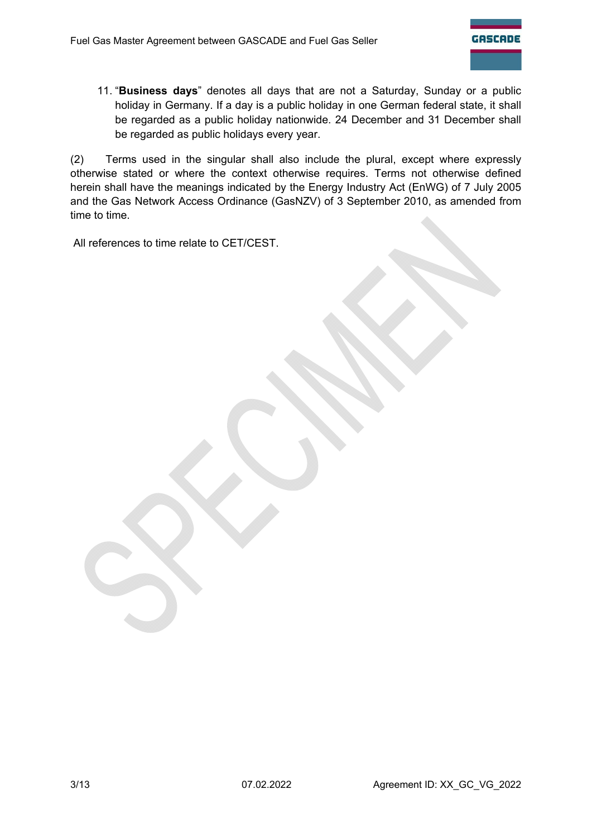11. "**Business days**" denotes all days that are not a Saturday, Sunday or a public holiday in Germany. If a day is a public holiday in one German federal state, it shall be regarded as a public holiday nationwide. 24 December and 31 December shall be regarded as public holidays every year.

(2) Terms used in the singular shall also include the plural, except where expressly otherwise stated or where the context otherwise requires. Terms not otherwise defined herein shall have the meanings indicated by the Energy Industry Act (EnWG) of 7 July 2005 and the Gas Network Access Ordinance (GasNZV) of 3 September 2010, as amended from time to time.

All references to time relate to CET/CEST.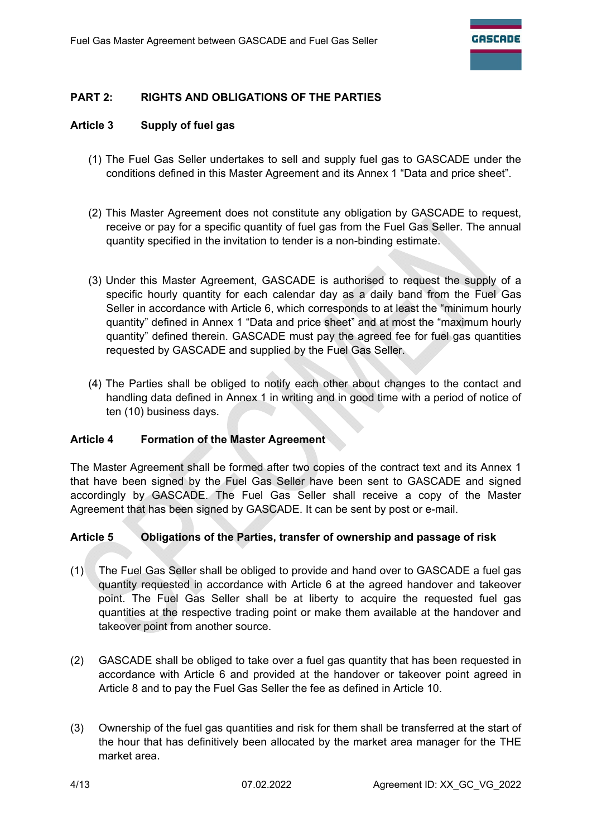# **PART 2: RIGHTS AND OBLIGATIONS OF THE PARTIES**

### **Article 3 Supply of fuel gas**

- (1) The Fuel Gas Seller undertakes to sell and supply fuel gas to GASCADE under the conditions defined in this Master Agreement and its Annex 1 "Data and price sheet".
- (2) This Master Agreement does not constitute any obligation by GASCADE to request, receive or pay for a specific quantity of fuel gas from the Fuel Gas Seller. The annual quantity specified in the invitation to tender is a non-binding estimate.
- (3) Under this Master Agreement, GASCADE is authorised to request the supply of a specific hourly quantity for each calendar day as a daily band from the Fuel Gas Seller in accordance with Article 6, which corresponds to at least the "minimum hourly quantity" defined in Annex 1 "Data and price sheet" and at most the "maximum hourly quantity" defined therein. GASCADE must pay the agreed fee for fuel gas quantities requested by GASCADE and supplied by the Fuel Gas Seller.
- (4) The Parties shall be obliged to notify each other about changes to the contact and handling data defined in Annex 1 in writing and in good time with a period of notice of ten (10) business days.

#### **Article 4 Formation of the Master Agreement**

The Master Agreement shall be formed after two copies of the contract text and its Annex 1 that have been signed by the Fuel Gas Seller have been sent to GASCADE and signed accordingly by GASCADE. The Fuel Gas Seller shall receive a copy of the Master Agreement that has been signed by GASCADE. It can be sent by post or e-mail.

#### **Article 5 Obligations of the Parties, transfer of ownership and passage of risk**

- (1) The Fuel Gas Seller shall be obliged to provide and hand over to GASCADE a fuel gas quantity requested in accordance with Article 6 at the agreed handover and takeover point. The Fuel Gas Seller shall be at liberty to acquire the requested fuel gas quantities at the respective trading point or make them available at the handover and takeover point from another source.
- (2) GASCADE shall be obliged to take over a fuel gas quantity that has been requested in accordance with Article 6 and provided at the handover or takeover point agreed in Article 8 and to pay the Fuel Gas Seller the fee as defined in Article 10.
- (3) Ownership of the fuel gas quantities and risk for them shall be transferred at the start of the hour that has definitively been allocated by the market area manager for the THE market area.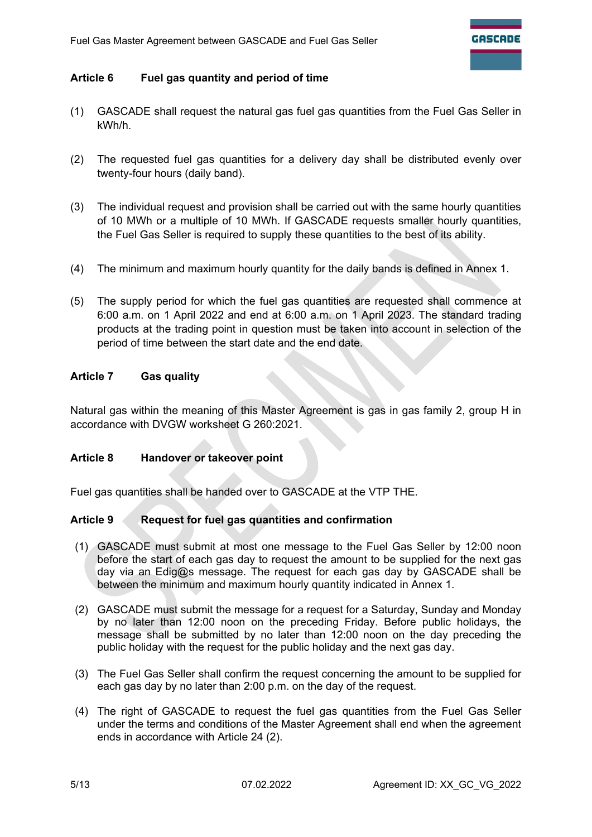### **Article 6 Fuel gas quantity and period of time**

- (1) GASCADE shall request the natural gas fuel gas quantities from the Fuel Gas Seller in kWh/h.
- (2) The requested fuel gas quantities for a delivery day shall be distributed evenly over twenty-four hours (daily band).
- (3) The individual request and provision shall be carried out with the same hourly quantities of 10 MWh or a multiple of 10 MWh. If GASCADE requests smaller hourly quantities, the Fuel Gas Seller is required to supply these quantities to the best of its ability.
- (4) The minimum and maximum hourly quantity for the daily bands is defined in Annex 1.
- (5) The supply period for which the fuel gas quantities are requested shall commence at 6:00 a.m. on 1 April 2022 and end at 6:00 a.m. on 1 April 2023. The standard trading products at the trading point in question must be taken into account in selection of the period of time between the start date and the end date.

#### **Article 7 Gas quality**

Natural gas within the meaning of this Master Agreement is gas in gas family 2, group H in accordance with DVGW worksheet G 260:2021.

#### **Article 8 Handover or takeover point**

Fuel gas quantities shall be handed over to GASCADE at the VTP THE.

#### **Article 9 Request for fuel gas quantities and confirmation**

- (1) GASCADE must submit at most one message to the Fuel Gas Seller by 12:00 noon before the start of each gas day to request the amount to be supplied for the next gas day via an Edig@s message. The request for each gas day by GASCADE shall be between the minimum and maximum hourly quantity indicated in Annex 1.
- (2) GASCADE must submit the message for a request for a Saturday, Sunday and Monday by no later than 12:00 noon on the preceding Friday. Before public holidays, the message shall be submitted by no later than 12:00 noon on the day preceding the public holiday with the request for the public holiday and the next gas day.
- (3) The Fuel Gas Seller shall confirm the request concerning the amount to be supplied for each gas day by no later than 2:00 p.m. on the day of the request.
- (4) The right of GASCADE to request the fuel gas quantities from the Fuel Gas Seller under the terms and conditions of the Master Agreement shall end when the agreement ends in accordance with Article 24 (2).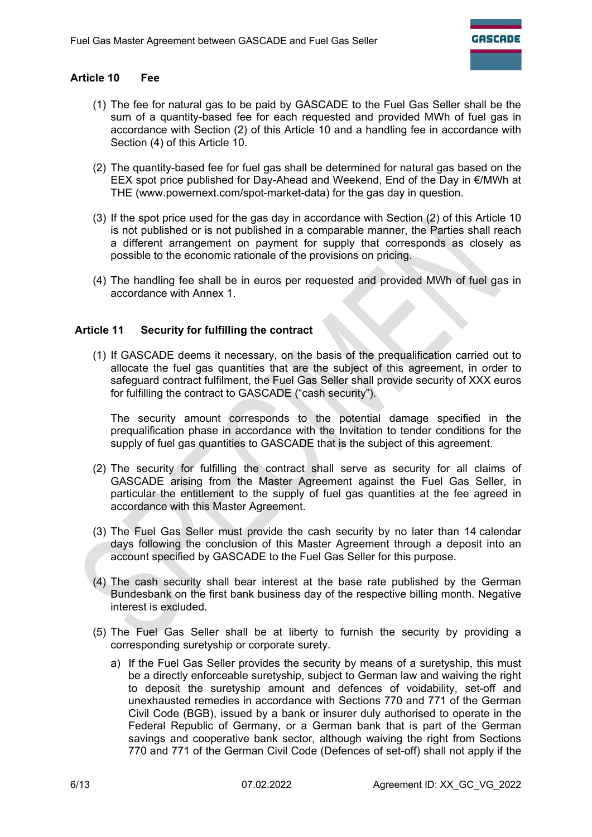### **Article 10 Fee**

- (1) The fee for natural gas to be paid by GASCADE to the Fuel Gas Seller shall be the sum of a quantity-based fee for each requested and provided MWh of fuel gas in accordance with Section (2) of this Article 10 and a handling fee in accordance with Section (4) of this Article 10.
- (2) The quantity-based fee for fuel gas shall be determined for natural gas based on the EEX spot price published for Day-Ahead and Weekend, End of the Day in €/MWh at THE (www.powernext.com/spot-market-data) for the gas day in question.
- (3) If the spot price used for the gas day in accordance with Section (2) of this Article 10 is not published or is not published in a comparable manner, the Parties shall reach a different arrangement on payment for supply that corresponds as closely as possible to the economic rationale of the provisions on pricing.
- (4) The handling fee shall be in euros per requested and provided MWh of fuel gas in accordance with Annex 1.

#### **Article 11 Security for fulfilling the contract**

(1) If GASCADE deems it necessary, on the basis of the prequalification carried out to allocate the fuel gas quantities that are the subject of this agreement, in order to safeguard contract fulfilment, the Fuel Gas Seller shall provide security of XXX euros for fulfilling the contract to GASCADE ("cash security").

The security amount corresponds to the potential damage specified in the prequalification phase in accordance with the Invitation to tender conditions for the supply of fuel gas quantities to GASCADE that is the subject of this agreement.

- (2) The security for fulfilling the contract shall serve as security for all claims of GASCADE arising from the Master Agreement against the Fuel Gas Seller, in particular the entitlement to the supply of fuel gas quantities at the fee agreed in accordance with this Master Agreement.
- (3) The Fuel Gas Seller must provide the cash security by no later than 14 calendar days following the conclusion of this Master Agreement through a deposit into an account specified by GASCADE to the Fuel Gas Seller for this purpose.
- (4) The cash security shall bear interest at the base rate published by the German Bundesbank on the first bank business day of the respective billing month. Negative interest is excluded.
- (5) The Fuel Gas Seller shall be at liberty to furnish the security by providing a corresponding suretyship or corporate surety.
	- a) If the Fuel Gas Seller provides the security by means of a suretyship, this must be a directly enforceable suretyship, subject to German law and waiving the right to deposit the suretyship amount and defences of voidability, set-off and unexhausted remedies in accordance with Sections 770 and 771 of the German Civil Code (BGB), issued by a bank or insurer duly authorised to operate in the Federal Republic of Germany, or a German bank that is part of the German savings and cooperative bank sector, although waiving the right from Sections 770 and 771 of the German Civil Code (Defences of set-off) shall not apply if the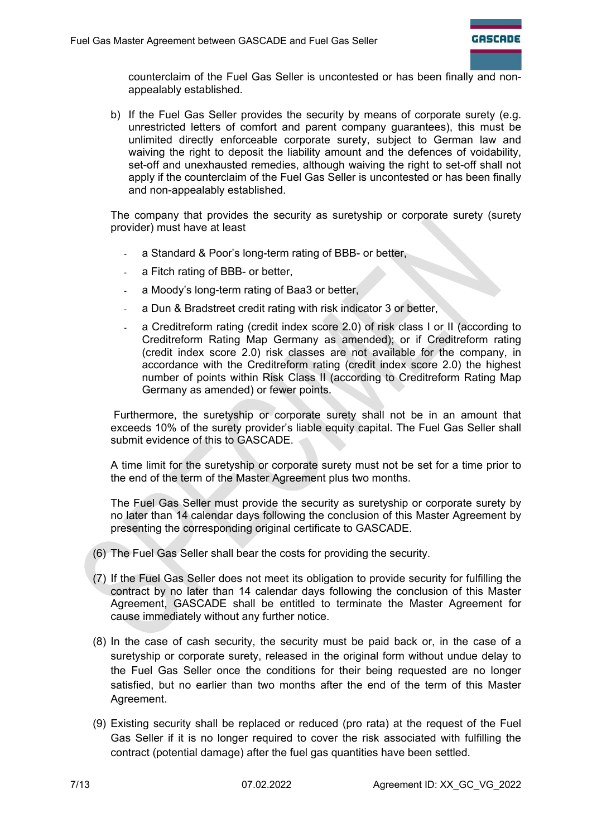counterclaim of the Fuel Gas Seller is uncontested or has been finally and nonappealably established.

b) If the Fuel Gas Seller provides the security by means of corporate surety (e.g. unrestricted letters of comfort and parent company guarantees), this must be unlimited directly enforceable corporate surety, subject to German law and waiving the right to deposit the liability amount and the defences of voidability, set-off and unexhausted remedies, although waiving the right to set-off shall not apply if the counterclaim of the Fuel Gas Seller is uncontested or has been finally and non-appealably established.

The company that provides the security as suretyship or corporate surety (surety provider) must have at least

- a Standard & Poor's long-term rating of BBB- or better,
- a Fitch rating of BBB- or better.
- a Moody's long-term rating of Baa3 or better,
- a Dun & Bradstreet credit rating with risk indicator 3 or better,
- a Creditreform rating (credit index score 2.0) of risk class I or II (according to Creditreform Rating Map Germany as amended); or if Creditreform rating (credit index score 2.0) risk classes are not available for the company, in accordance with the Creditreform rating (credit index score 2.0) the highest number of points within Risk Class II (according to Creditreform Rating Map Germany as amended) or fewer points.

 Furthermore, the suretyship or corporate surety shall not be in an amount that exceeds 10% of the surety provider's liable equity capital. The Fuel Gas Seller shall submit evidence of this to GASCADE.

A time limit for the suretyship or corporate surety must not be set for a time prior to the end of the term of the Master Agreement plus two months.

The Fuel Gas Seller must provide the security as suretyship or corporate surety by no later than 14 calendar days following the conclusion of this Master Agreement by presenting the corresponding original certificate to GASCADE.

- (6) The Fuel Gas Seller shall bear the costs for providing the security.
- (7) If the Fuel Gas Seller does not meet its obligation to provide security for fulfilling the contract by no later than 14 calendar days following the conclusion of this Master Agreement, GASCADE shall be entitled to terminate the Master Agreement for cause immediately without any further notice.
- (8) In the case of cash security, the security must be paid back or, in the case of a suretyship or corporate surety, released in the original form without undue delay to the Fuel Gas Seller once the conditions for their being requested are no longer satisfied, but no earlier than two months after the end of the term of this Master Agreement.
- (9) Existing security shall be replaced or reduced (pro rata) at the request of the Fuel Gas Seller if it is no longer required to cover the risk associated with fulfilling the contract (potential damage) after the fuel gas quantities have been settled.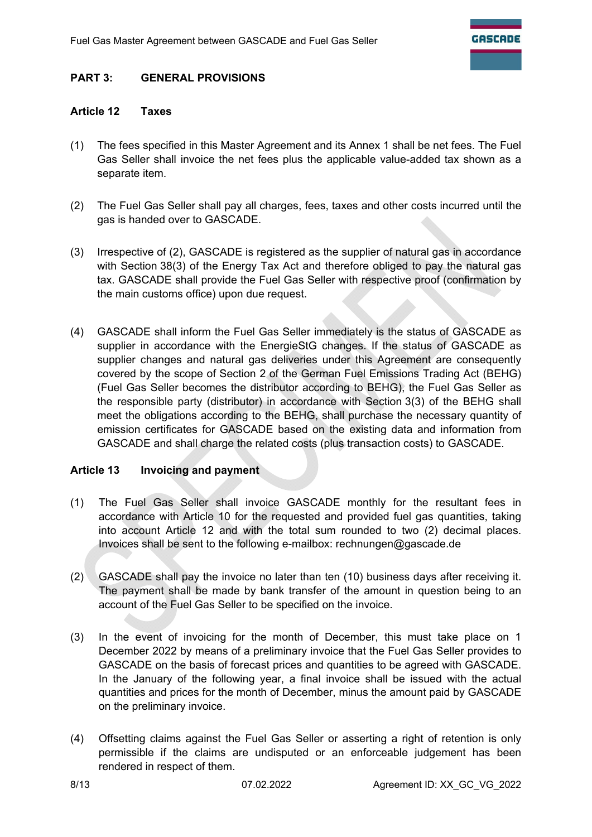### **PART 3: GENERAL PROVISIONS**

#### **Article 12 Taxes**

- (1) The fees specified in this Master Agreement and its Annex 1 shall be net fees. The Fuel Gas Seller shall invoice the net fees plus the applicable value-added tax shown as a separate item.
- (2) The Fuel Gas Seller shall pay all charges, fees, taxes and other costs incurred until the gas is handed over to GASCADE.
- (3) Irrespective of (2), GASCADE is registered as the supplier of natural gas in accordance with Section 38(3) of the Energy Tax Act and therefore obliged to pay the natural gas tax. GASCADE shall provide the Fuel Gas Seller with respective proof (confirmation by the main customs office) upon due request.
- (4) GASCADE shall inform the Fuel Gas Seller immediately is the status of GASCADE as supplier in accordance with the EnergieStG changes. If the status of GASCADE as supplier changes and natural gas deliveries under this Agreement are consequently covered by the scope of Section 2 of the German Fuel Emissions Trading Act (BEHG) (Fuel Gas Seller becomes the distributor according to BEHG), the Fuel Gas Seller as the responsible party (distributor) in accordance with Section 3(3) of the BEHG shall meet the obligations according to the BEHG, shall purchase the necessary quantity of emission certificates for GASCADE based on the existing data and information from GASCADE and shall charge the related costs (plus transaction costs) to GASCADE.

#### **Article 13 Invoicing and payment**

- (1) The Fuel Gas Seller shall invoice GASCADE monthly for the resultant fees in accordance with Article 10 for the requested and provided fuel gas quantities, taking into account Article 12 and with the total sum rounded to two (2) decimal places. Invoices shall be sent to the following e-mailbox: rechnungen@gascade.de
- (2) GASCADE shall pay the invoice no later than ten (10) business days after receiving it. The payment shall be made by bank transfer of the amount in question being to an account of the Fuel Gas Seller to be specified on the invoice.
- (3) In the event of invoicing for the month of December, this must take place on 1 December 2022 by means of a preliminary invoice that the Fuel Gas Seller provides to GASCADE on the basis of forecast prices and quantities to be agreed with GASCADE. In the January of the following year, a final invoice shall be issued with the actual quantities and prices for the month of December, minus the amount paid by GASCADE on the preliminary invoice.
- (4) Offsetting claims against the Fuel Gas Seller or asserting a right of retention is only permissible if the claims are undisputed or an enforceable judgement has been rendered in respect of them.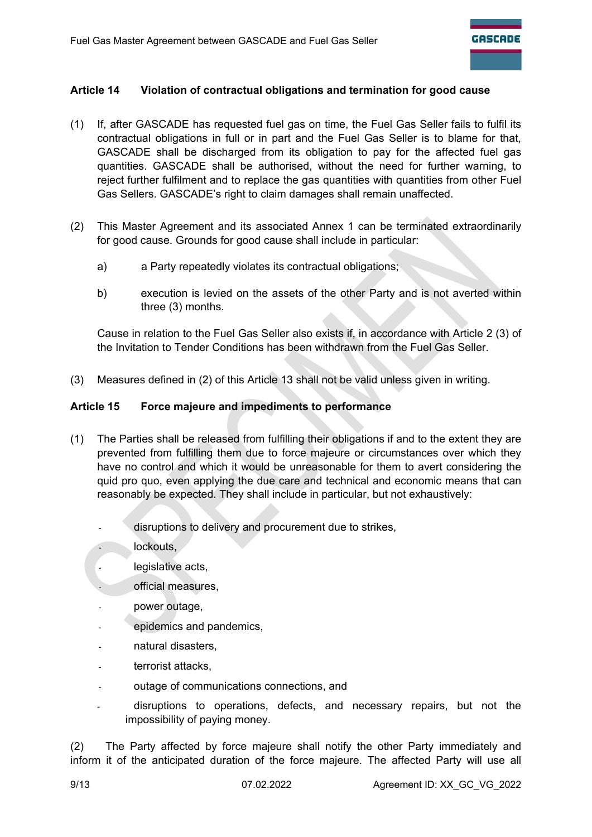# **Article 14 Violation of contractual obligations and termination for good cause**

- (1) If, after GASCADE has requested fuel gas on time, the Fuel Gas Seller fails to fulfil its contractual obligations in full or in part and the Fuel Gas Seller is to blame for that, GASCADE shall be discharged from its obligation to pay for the affected fuel gas quantities. GASCADE shall be authorised, without the need for further warning, to reject further fulfilment and to replace the gas quantities with quantities from other Fuel Gas Sellers. GASCADE's right to claim damages shall remain unaffected.
- (2) This Master Agreement and its associated Annex 1 can be terminated extraordinarily for good cause. Grounds for good cause shall include in particular:
	- a) a Party repeatedly violates its contractual obligations;
	- b) execution is levied on the assets of the other Party and is not averted within three (3) months.

Cause in relation to the Fuel Gas Seller also exists if, in accordance with Article 2 (3) of the Invitation to Tender Conditions has been withdrawn from the Fuel Gas Seller.

(3) Measures defined in (2) of this Article 13 shall not be valid unless given in writing.

### **Article 15 Force majeure and impediments to performance**

- (1) The Parties shall be released from fulfilling their obligations if and to the extent they are prevented from fulfilling them due to force majeure or circumstances over which they have no control and which it would be unreasonable for them to avert considering the quid pro quo, even applying the due care and technical and economic means that can reasonably be expected. They shall include in particular, but not exhaustively:
	- disruptions to delivery and procurement due to strikes,
	- lockouts,
	- legislative acts.
		- official measures,
	- power outage,
	- epidemics and pandemics.
	- natural disasters,
	- terrorist attacks,
	- outage of communications connections, and
	- disruptions to operations, defects, and necessary repairs, but not the impossibility of paying money.

(2) The Party affected by force majeure shall notify the other Party immediately and inform it of the anticipated duration of the force majeure. The affected Party will use all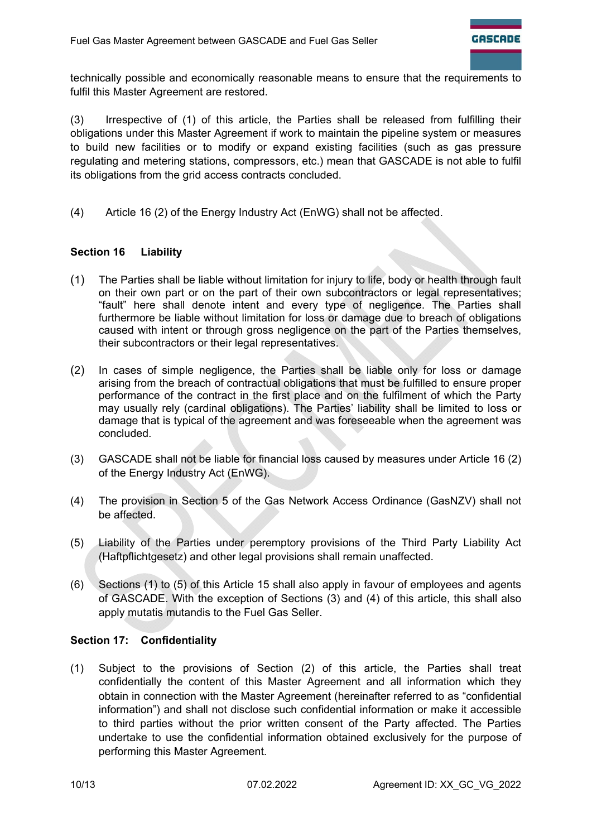technically possible and economically reasonable means to ensure that the requirements to fulfil this Master Agreement are restored.

(3) Irrespective of (1) of this article, the Parties shall be released from fulfilling their obligations under this Master Agreement if work to maintain the pipeline system or measures to build new facilities or to modify or expand existing facilities (such as gas pressure regulating and metering stations, compressors, etc.) mean that GASCADE is not able to fulfil its obligations from the grid access contracts concluded.

(4) Article 16 (2) of the Energy Industry Act (EnWG) shall not be affected.

# **Section 16 Liability**

- (1) The Parties shall be liable without limitation for injury to life, body or health through fault on their own part or on the part of their own subcontractors or legal representatives; "fault" here shall denote intent and every type of negligence. The Parties shall furthermore be liable without limitation for loss or damage due to breach of obligations caused with intent or through gross negligence on the part of the Parties themselves, their subcontractors or their legal representatives.
- (2) In cases of simple negligence, the Parties shall be liable only for loss or damage arising from the breach of contractual obligations that must be fulfilled to ensure proper performance of the contract in the first place and on the fulfilment of which the Party may usually rely (cardinal obligations). The Parties' liability shall be limited to loss or damage that is typical of the agreement and was foreseeable when the agreement was concluded.
- (3) GASCADE shall not be liable for financial loss caused by measures under Article 16 (2) of the Energy Industry Act (EnWG).
- (4) The provision in Section 5 of the Gas Network Access Ordinance (GasNZV) shall not be affected.
- (5) Liability of the Parties under peremptory provisions of the Third Party Liability Act (Haftpflichtgesetz) and other legal provisions shall remain unaffected.
- (6) Sections (1) to (5) of this Article 15 shall also apply in favour of employees and agents of GASCADE. With the exception of Sections (3) and (4) of this article, this shall also apply mutatis mutandis to the Fuel Gas Seller.

# **Section 17: Confidentiality**

(1) Subject to the provisions of Section (2) of this article, the Parties shall treat confidentially the content of this Master Agreement and all information which they obtain in connection with the Master Agreement (hereinafter referred to as "confidential information") and shall not disclose such confidential information or make it accessible to third parties without the prior written consent of the Party affected. The Parties undertake to use the confidential information obtained exclusively for the purpose of performing this Master Agreement.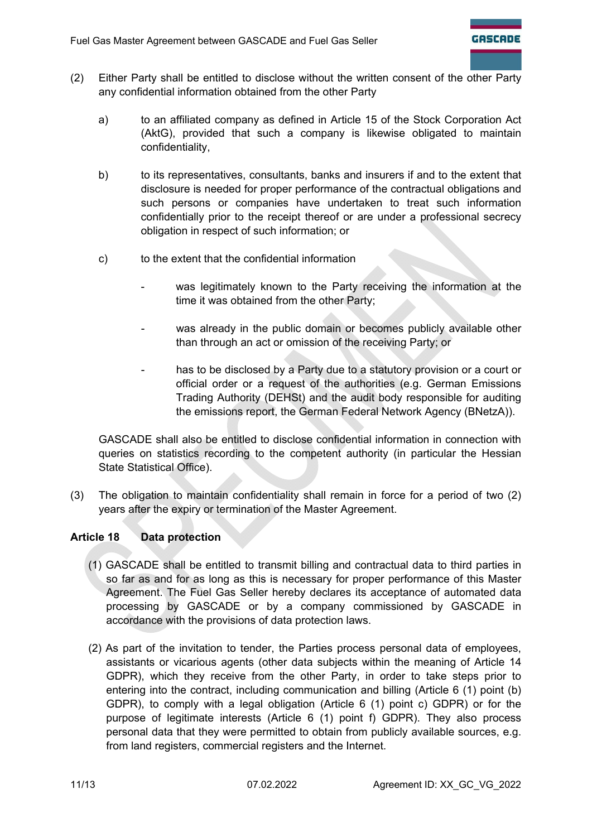- (2) Either Party shall be entitled to disclose without the written consent of the other Party any confidential information obtained from the other Party
	- a) to an affiliated company as defined in Article 15 of the Stock Corporation Act (AktG), provided that such a company is likewise obligated to maintain confidentiality,
	- b) to its representatives, consultants, banks and insurers if and to the extent that disclosure is needed for proper performance of the contractual obligations and such persons or companies have undertaken to treat such information confidentially prior to the receipt thereof or are under a professional secrecy obligation in respect of such information; or
	- c) to the extent that the confidential information
		- was legitimately known to the Party receiving the information at the time it was obtained from the other Party;
		- was already in the public domain or becomes publicly available other than through an act or omission of the receiving Party; or
		- has to be disclosed by a Party due to a statutory provision or a court or official order or a request of the authorities (e.g. German Emissions Trading Authority (DEHSt) and the audit body responsible for auditing the emissions report, the German Federal Network Agency (BNetzA)).

GASCADE shall also be entitled to disclose confidential information in connection with queries on statistics recording to the competent authority (in particular the Hessian State Statistical Office).

(3) The obligation to maintain confidentiality shall remain in force for a period of two (2) years after the expiry or termination of the Master Agreement.

# **Article 18 Data protection**

- (1) GASCADE shall be entitled to transmit billing and contractual data to third parties in so far as and for as long as this is necessary for proper performance of this Master Agreement. The Fuel Gas Seller hereby declares its acceptance of automated data processing by GASCADE or by a company commissioned by GASCADE in accordance with the provisions of data protection laws.
- (2) As part of the invitation to tender, the Parties process personal data of employees, assistants or vicarious agents (other data subjects within the meaning of Article 14 GDPR), which they receive from the other Party, in order to take steps prior to entering into the contract, including communication and billing (Article 6 (1) point (b) GDPR), to comply with a legal obligation (Article 6 (1) point c) GDPR) or for the purpose of legitimate interests (Article 6 (1) point f) GDPR). They also process personal data that they were permitted to obtain from publicly available sources, e.g. from land registers, commercial registers and the Internet.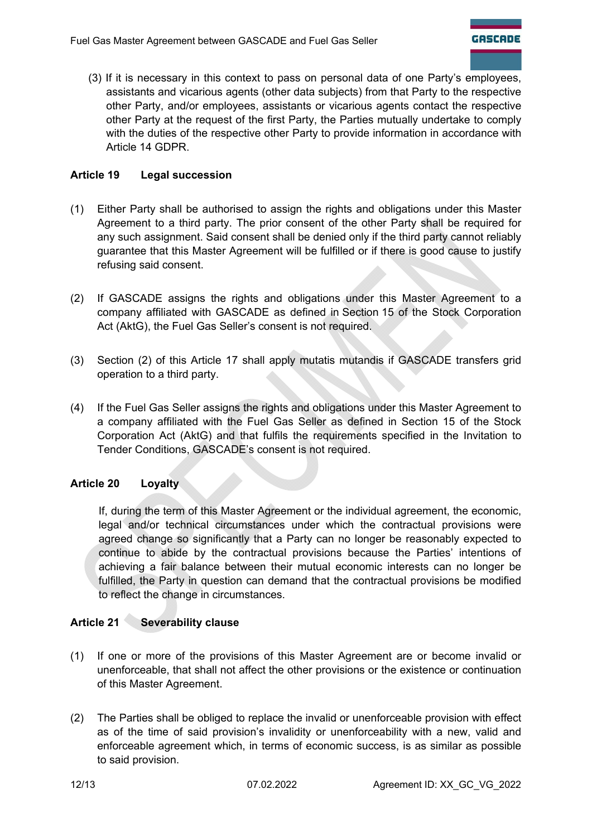(3) If it is necessary in this context to pass on personal data of one Party's employees, assistants and vicarious agents (other data subjects) from that Party to the respective other Party, and/or employees, assistants or vicarious agents contact the respective other Party at the request of the first Party, the Parties mutually undertake to comply with the duties of the respective other Party to provide information in accordance with Article 14 GDPR.

# **Article 19 Legal succession**

- (1) Either Party shall be authorised to assign the rights and obligations under this Master Agreement to a third party. The prior consent of the other Party shall be required for any such assignment. Said consent shall be denied only if the third party cannot reliably guarantee that this Master Agreement will be fulfilled or if there is good cause to justify refusing said consent.
- (2) If GASCADE assigns the rights and obligations under this Master Agreement to a company affiliated with GASCADE as defined in Section 15 of the Stock Corporation Act (AktG), the Fuel Gas Seller's consent is not required.
- (3) Section (2) of this Article 17 shall apply mutatis mutandis if GASCADE transfers grid operation to a third party.
- (4) If the Fuel Gas Seller assigns the rights and obligations under this Master Agreement to a company affiliated with the Fuel Gas Seller as defined in Section 15 of the Stock Corporation Act (AktG) and that fulfils the requirements specified in the Invitation to Tender Conditions, GASCADE's consent is not required.

# **Article 20 Loyalty**

If, during the term of this Master Agreement or the individual agreement, the economic, legal and/or technical circumstances under which the contractual provisions were agreed change so significantly that a Party can no longer be reasonably expected to continue to abide by the contractual provisions because the Parties' intentions of achieving a fair balance between their mutual economic interests can no longer be fulfilled, the Party in question can demand that the contractual provisions be modified to reflect the change in circumstances.

# **Article 21 Severability clause**

- (1) If one or more of the provisions of this Master Agreement are or become invalid or unenforceable, that shall not affect the other provisions or the existence or continuation of this Master Agreement.
- (2) The Parties shall be obliged to replace the invalid or unenforceable provision with effect as of the time of said provision's invalidity or unenforceability with a new, valid and enforceable agreement which, in terms of economic success, is as similar as possible to said provision.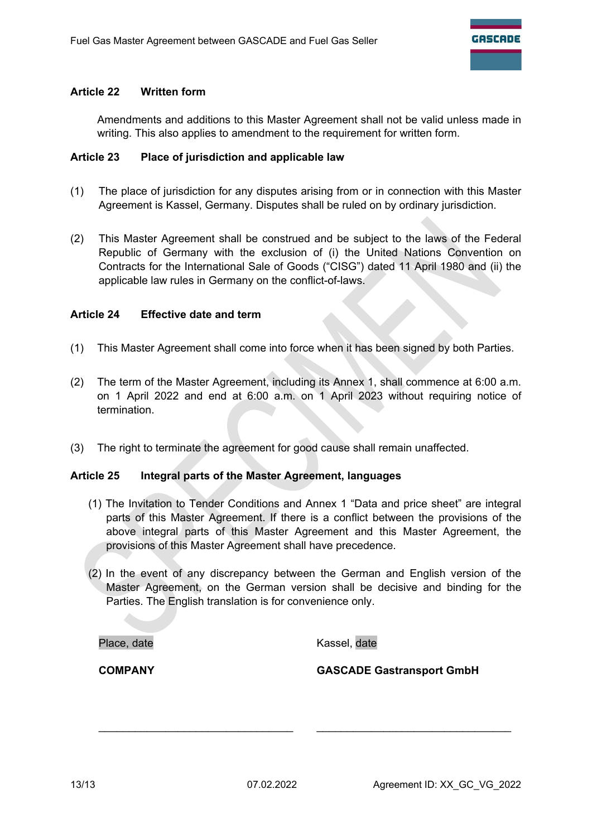#### **Article 22 Written form**

Amendments and additions to this Master Agreement shall not be valid unless made in writing. This also applies to amendment to the requirement for written form.

#### **Article 23 Place of jurisdiction and applicable law**

- (1) The place of jurisdiction for any disputes arising from or in connection with this Master Agreement is Kassel, Germany. Disputes shall be ruled on by ordinary jurisdiction.
- (2) This Master Agreement shall be construed and be subject to the laws of the Federal Republic of Germany with the exclusion of (i) the United Nations Convention on Contracts for the International Sale of Goods ("CISG") dated 11 April 1980 and (ii) the applicable law rules in Germany on the conflict-of-laws.

#### **Article 24 Effective date and term**

- (1) This Master Agreement shall come into force when it has been signed by both Parties.
- (2) The term of the Master Agreement, including its Annex 1, shall commence at 6:00 a.m. on 1 April 2022 and end at 6:00 a.m. on 1 April 2023 without requiring notice of termination.
- (3) The right to terminate the agreement for good cause shall remain unaffected.

#### **Article 25 Integral parts of the Master Agreement, languages**

- (1) The Invitation to Tender Conditions and Annex 1 "Data and price sheet" are integral parts of this Master Agreement. If there is a conflict between the provisions of the above integral parts of this Master Agreement and this Master Agreement, the provisions of this Master Agreement shall have precedence.
- (2) In the event of any discrepancy between the German and English version of the Master Agreement, on the German version shall be decisive and binding for the Parties. The English translation is for convenience only.

\_\_\_\_\_\_\_\_\_\_\_\_\_\_\_\_\_\_\_\_\_\_\_\_\_\_\_\_\_\_\_\_ \_\_\_\_\_\_\_\_\_\_\_\_\_\_\_\_\_\_\_\_\_\_\_\_\_\_\_\_\_\_\_\_

Place, date and the Controller Controller and Kassel, date

**COMPANY GASCADE Gastransport GmbH**